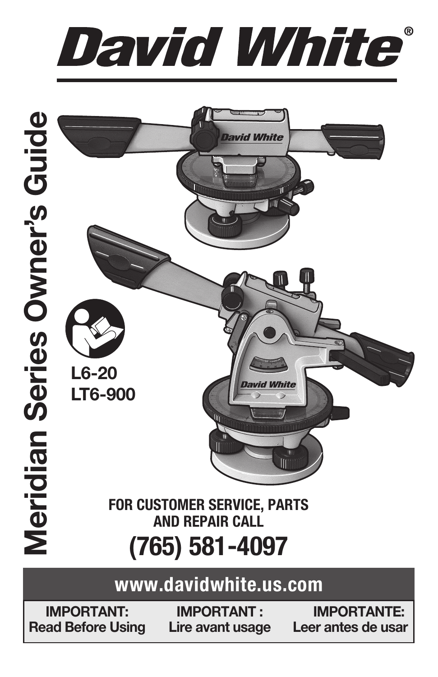



Read Before Using Lire avant usage Leer antes de usar

IMPORTANT: IMPORTANT : IMPORTANTE: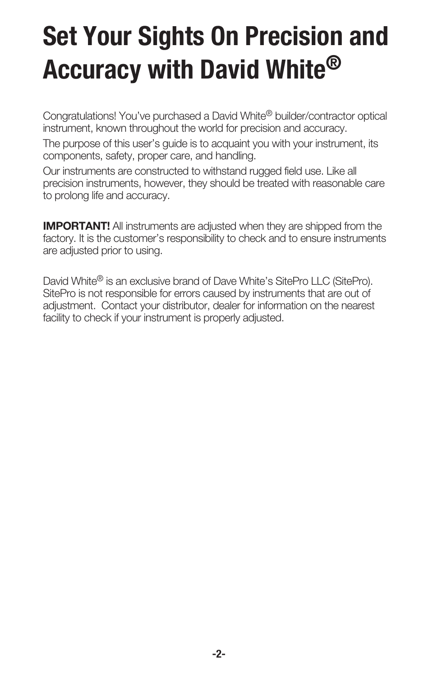# Set Your Sights On Precision and Accuracy with David White®

Congratulations! You've purchased a David White® builder/contractor optical instrument, known throughout the world for precision and accuracy.

The purpose of this user's guide is to acquaint you with your instrument, its components, safety, proper care, and handling.

Our instruments are constructed to withstand rugged field use. Like all precision instruments, however, they should be treated with reasonable care to prolong life and accuracy.

**IMPORTANT!** All instruments are adjusted when they are shipped from the factory. It is the customer's responsibility to check and to ensure instruments are adjusted prior to using.

David White<sup>®</sup> is an exclusive brand of Dave White's SitePro LLC (SitePro). SitePro is not responsible for errors caused by instruments that are out of adjustment. Contact your distributor, dealer for information on the nearest facility to check if your instrument is properly adjusted.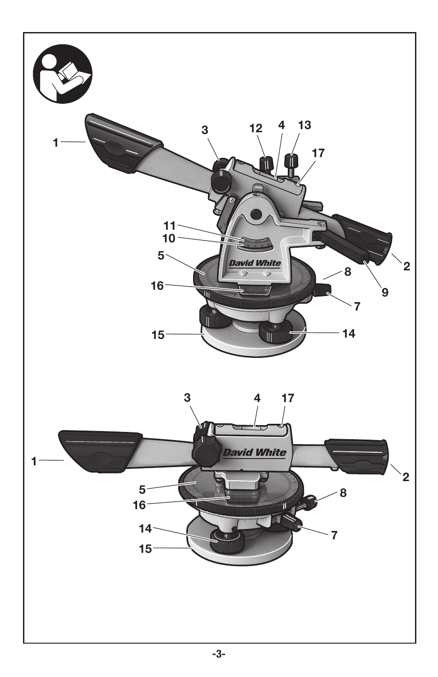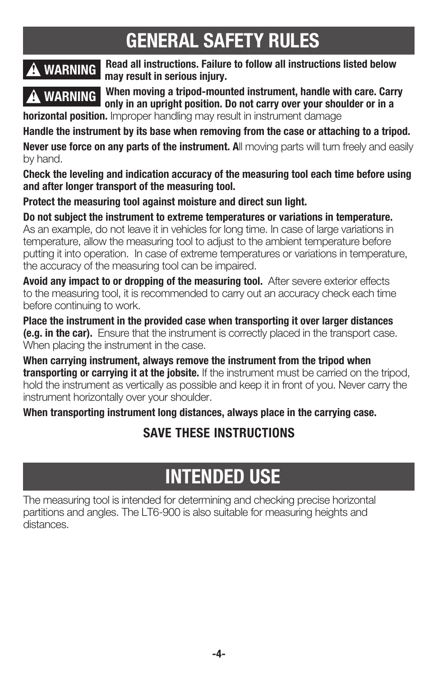# GENERAL SAFETY RULES

**A** WARNING Read all instructions. Failure to follow all instructions listed below may result in serious injury.

**WARNING** When moving a tripod-mounted instrument, handle with care. Carry only in an upright position. Do not carry over your shoulder or in a

horizontal position. Improper handling may result in instrument damage

Handle the instrument by its base when removing from the case or attaching to a tripod. Never use force on any parts of the instrument. All moving parts will turn freely and easily by hand.

Check the leveling and indication accuracy of the measuring tool each time before using and after longer transport of the measuring tool.

Protect the measuring tool against moisture and direct sun light.

Do not subject the instrument to extreme temperatures or variations in temperature. As an example, do not leave it in vehicles for long time. In case of large variations in temperature, allow the measuring tool to adjust to the ambient temperature before putting it into operation. In case of extreme temperatures or variations in temperature, the accuracy of the measuring tool can be impaired.

Avoid any impact to or dropping of the measuring tool. After severe exterior effects to the measuring tool, it is recommended to carry out an accuracy check each time before continuing to work.

Place the instrument in the provided case when transporting it over larger distances (e.g. in the car). Ensure that the instrument is correctly placed in the transport case. When placing the instrument in the case.

When carrying instrument, always remove the instrument from the tripod when transporting or carrying it at the jobsite. If the instrument must be carried on the tripod, hold the instrument as vertically as possible and keep it in front of you. Never carry the instrument horizontally over your shoulder.

When transporting instrument long distances, always place in the carrying case.

### SAVE THESE INSTRUCTIONS

# INTENDED USE

The measuring tool is intended for determining and checking precise horizontal partitions and angles. The LT6-900 is also suitable for measuring heights and distances.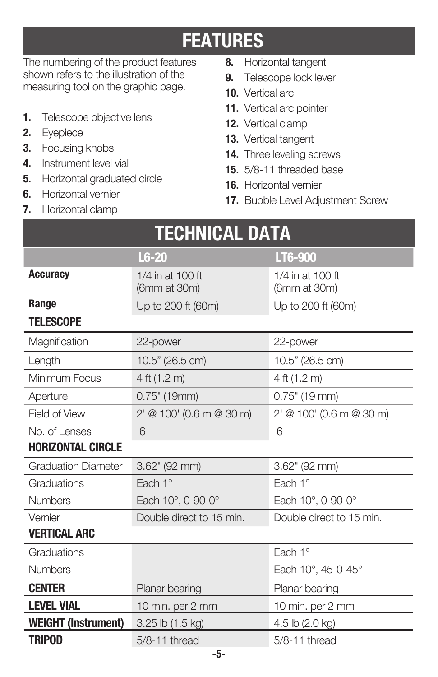# **FEATURES**

The numbering of the product features shown refers to the illustration of the measuring tool on the graphic page.

- 1. Telescope objective lens
- 2. Eyepiece
- 3. Focusing knobs
- 4. Instrument level vial
- **5.** Horizontal graduated circle
- **6.** Horizontal vernier
- 7. Horizontal clamp
- 8. Horizontal tangent
- 9. Telescope lock lever
- 10. Vertical arc
- 11. Vertical arc pointer
- 12. Vertical clamp
- 13. Vertical tangent
- 14. Three leveling screws
- 15. 5/8-11 threaded base
- 16. Horizontal vernier
- 17. Bubble Level Adjustment Screw

| <b>TECHNICAL DATA</b>      |                                    |                                  |
|----------------------------|------------------------------------|----------------------------------|
|                            | $L6-20$                            | LT6-900                          |
| <b>Accuracy</b>            | $1/4$ in at 100 ft<br>(6mm at 30m) | 1/4 in at 100 ft<br>(6mm at 30m) |
| Range                      | Up to 200 ft (60m)                 | Up to 200 ft (60m)               |
| <b>TELESCOPE</b>           |                                    |                                  |
| Magnification              | 22-power                           | 22-power                         |
| Length                     | 10.5" (26.5 cm)                    | 10.5" (26.5 cm)                  |
| Minimum Focus              | 4 ft (1.2 m)                       | 4 ft (1.2 m)                     |
| Aperture                   | $0.75"$ (19mm)                     | $0.75$ " (19 mm)                 |
| <b>Field of View</b>       | 2' @ 100' (0.6 m @ 30 m)           | 2' @ 100' (0.6 m @ 30 m)         |
| No. of Lenses              | 6                                  | 6                                |
| <b>HORIZONTAL CIRCLE</b>   |                                    |                                  |
| <b>Graduation Diameter</b> | 3.62" (92 mm)                      | 3.62" (92 mm)                    |
| Graduations                | Each 1°                            | Each 1°                          |
| <b>Numbers</b>             | Each 10°, 0-90-0°                  | Each 10°, 0-90-0°                |
| Vernier                    | Double direct to 15 min.           | Double direct to 15 min.         |
| <b>VERTICAL ARC</b>        |                                    |                                  |
| Graduations                |                                    | Each 1°                          |
| <b>Numbers</b>             |                                    | Each 10°, 45-0-45°               |
| <b>CENTER</b>              | Planar bearing                     | Planar bearing                   |
| <b>LEVEL VIAL</b>          | 10 min. per 2 mm                   | 10 min. per 2 mm                 |
| <b>WEIGHT (Instrument)</b> | 3.25 lb (1.5 kg)                   | 4.5 lb (2.0 kg)                  |
| <b>TRIPOD</b>              | 5/8-11 thread                      | 5/8-11 thread                    |
| -5-                        |                                    |                                  |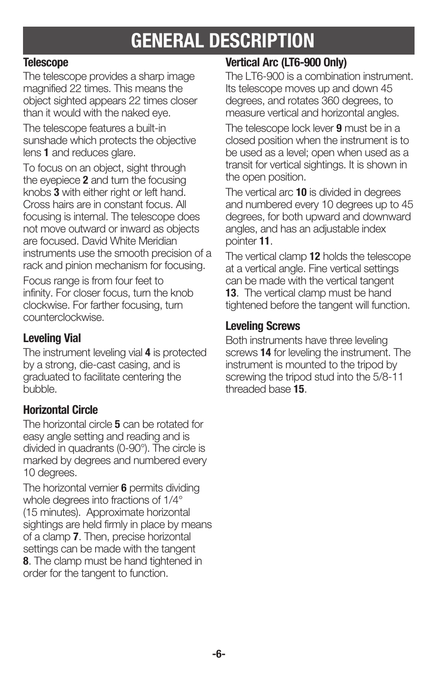# GENERAL DESCRIPTION

#### Telescope

The telescope provides a sharp image magnified 22 times. This means the object sighted appears 22 times closer than it would with the naked eye.

The telescope features a built-in sunshade which protects the objective lens 1 and reduces glare.

To focus on an object, sight through the eyepiece 2 and turn the focusing knobs 3 with either right or left hand. Cross hairs are in constant focus. All focusing is internal. The telescope does not move outward or inward as objects are focused. David White Meridian instruments use the smooth precision of a rack and pinion mechanism for focusing.

Focus range is from four feet to infinity. For closer focus, turn the knob clockwise. For farther focusing, turn counterclockwise.

#### Leveling Vial

The instrument leveling vial 4 is protected by a strong, die-cast casing, and is graduated to facilitate centering the huhhle.

#### Horizontal Circle

The horizontal circle 5 can be rotated for easy angle setting and reading and is divided in quadrants (0-90°). The circle is marked by degrees and numbered every 10 degrees.

The horizontal vernier 6 permits dividing whole degrees into fractions of 1/4° (15 minutes). Approximate horizontal sightings are held firmly in place by means of a clamp 7. Then, precise horizontal settings can be made with the tangent 8. The clamp must be hand tightened in order for the tangent to function.

#### Vertical Arc (LT6-900 Only)

The LT6-900 is a combination instrument. Its telescope moves up and down 45 degrees, and rotates 360 degrees, to measure vertical and horizontal angles.

The telescope lock lever 9 must be in a closed position when the instrument is to be used as a level; open when used as a transit for vertical sightings. It is shown in the open position.

The vertical arc 10 is divided in degrees and numbered every 10 degrees up to 45 degrees, for both upward and downward angles, and has an adjustable index pointer 11.

The vertical clamp 12 holds the telescope at a vertical angle. Fine vertical settings can be made with the vertical tangent 13. The vertical clamp must be hand tightened before the tangent will function.

#### Leveling Screws

Both instruments have three leveling screws 14 for leveling the instrument. The instrument is mounted to the tripod by screwing the tripod stud into the 5/8-11 threaded base 15.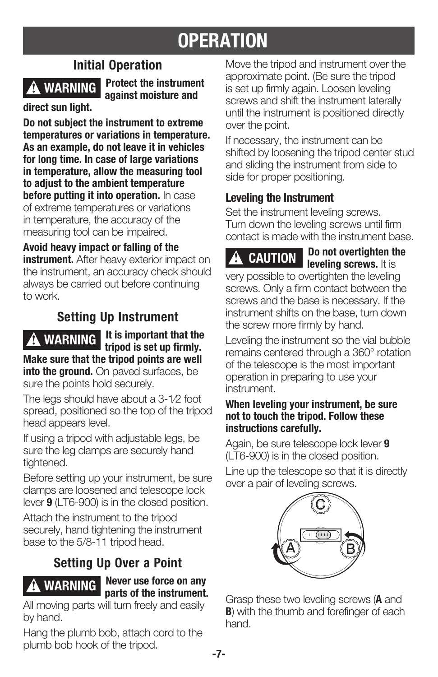# **OPERATION**

### Initial Operation



**!** WARNING Protect the instrument against moisture and

#### direct sun light.

Do not subject the instrument to extreme temperatures or variations in temperature. As an example, do not leave it in vehicles for long time. In case of large variations in temperature, allow the measuring tool to adjust to the ambient temperature before putting it into operation. In case of extreme temperatures or variations in temperature, the accuracy of the measuring tool can be impaired.

Avoid heavy impact or falling of the **instrument.** After heavy exterior impact on

the instrument, an accuracy check should always be carried out before continuing to work.

### Setting Up Instrument

**WARNING** It is important that the tripod is set up firmly. Make sure that the tripod points are well

into the ground. On paved surfaces, be sure the points hold securely.

The legs should have about a 3-1⁄2 foot spread, positioned so the top of the tripod head appears level.

If using a tripod with adjustable legs, be sure the leg clamps are securely hand tightened.

Before setting up your instrument, be sure clamps are loosened and telescope lock lever 9 (LT6-900) is in the closed position.

Attach the instrument to the tripod securely, hand tightening the instrument base to the 5/8-11 tripod head.

### Setting Up Over a Point

#### **WARNING** Never use force on any parts of the instrument.

All moving parts will turn freely and easily by hand.

Hang the plumb bob, attach cord to the plumb bob hook of the tripod.

Move the tripod and instrument over the approximate point. (Be sure the tripod is set up firmly again. Loosen leveling screws and shift the instrument laterally until the instrument is positioned directly over the point.

If necessary, the instrument can be shifted by loosening the tripod center stud and sliding the instrument from side to side for proper positioning.

#### Leveling the Instrument

Set the instrument leveling screws. Turn down the leveling screws until firm contact is made with the instrument base.

**CAUTION** Do not overtighten the leveling screws. It is very possible to overtighten the leveling screws. Only a firm contact between the screws and the base is necessary. If the instrument shifts on the base, turn down the screw more firmly by hand.

Leveling the instrument so the vial bubble remains centered through a 360° rotation of the telescope is the most important operation in preparing to use your instrument.

#### When leveling your instrument, be sure not to touch the tripod. Follow these instructions carefully.

Again, be sure telescope lock lever 9 (LT6-900) is in the closed position.

Line up the telescope so that it is directly over a pair of leveling screws.



Grasp these two leveling screws (A and **B**) with the thumb and forefinger of each hand.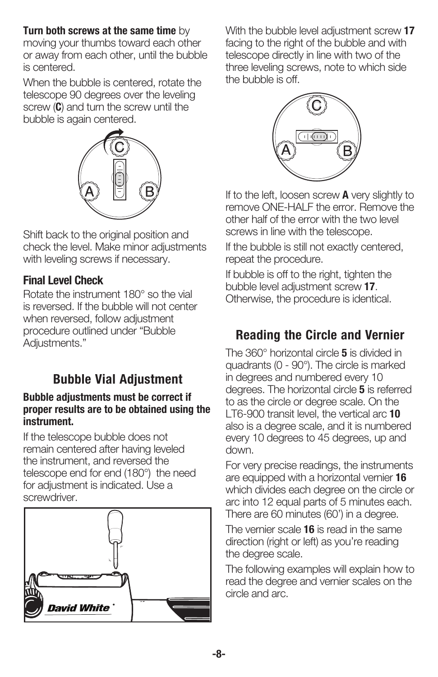Turn both screws at the same time  $by$ moving your thumbs toward each other or away from each other, until the bubble is centered.

When the bubble is centered, rotate the telescope 90 degrees over the leveling screw (C) and turn the screw until the bubble is again centered.



Shift back to the original position and check the level. Make minor adjustments with leveling screws if necessary.

#### Final Level Check

Rotate the instrument 180° so the vial is reversed. If the bubble will not center when reversed, follow adjustment procedure outlined under "Bubble Adiustments."

### Bubble Vial Adjustment

#### Bubble adjustments must be correct if proper results are to be obtained using the instrument.

If the telescope bubble does not remain centered after having leveled the instrument, and reversed the telescope end for end (180°) the need for adjustment is indicated. Use a screwdriver.



With the bubble level adjustment screw 17 facing to the right of the bubble and with telescope directly in line with two of the three leveling screws, note to which side the bubble is off.



If to the left, loosen screw **A** very slightly to remove ONE-HALF the error. Remove the other half of the error with the two level screws in line with the telescope.

If the bubble is still not exactly centered, repeat the procedure.

If bubble is off to the right, tighten the bubble level adjustment screw 17. Otherwise, the procedure is identical.

### Reading the Circle and Vernier

The 360° horizontal circle **5** is divided in quadrants (0 - 90°). The circle is marked in degrees and numbered every 10 degrees. The horizontal circle **5** is referred to as the circle or degree scale. On the LT6-900 transit level, the vertical arc 10 also is a degree scale, and it is numbered every 10 degrees to 45 degrees, up and down.

For very precise readings, the instruments are equipped with a horizontal vernier 16 which divides each degree on the circle or arc into 12 equal parts of 5 minutes each. There are 60 minutes (60') in a degree.

The vernier scale 16 is read in the same direction (right or left) as you're reading the degree scale.

The following examples will explain how to read the degree and vernier scales on the circle and arc.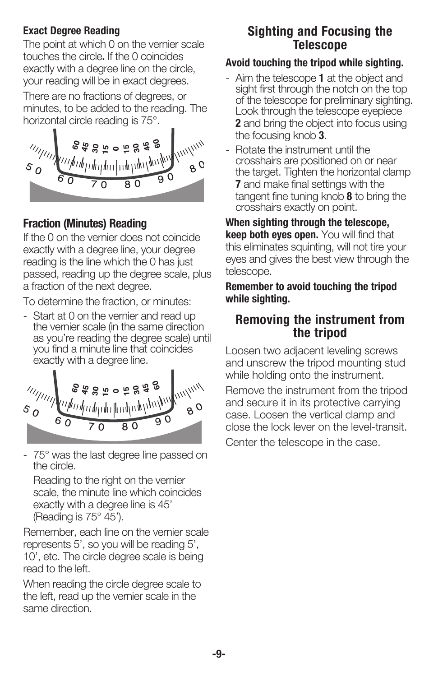#### Exact Degree Reading

The point at which 0 on the vernier scale touches the circle. If the 0 coincides exactly with a degree line on the circle, your reading will be in exact degrees.

There are no fractions of degrees, or minutes, to be added to the reading. The horizontal circle reading is 75°.



#### Fraction (Minutes) Reading

If the 0 on the vernier does not coincide exactly with a degree line, your degree reading is the line which the 0 has just passed, reading up the degree scale, plus a fraction of the next degree.

To determine the fraction, or minutes:

- Start at 0 on the vernier and read up the vernier scale (in the same direction as you're reading the degree scale) until you find a minute line that coincides exactly with a degree line.



- 75° was the last degree line passed on the circle.

Reading to the right on the vernier scale, the minute line which coincides exactly with a degree line is 45' (Reading is 75° 45').

Remember, each line on the vernier scale represents 5', so you will be reading 5', 10', etc. The circle degree scale is being read to the left.

When reading the circle degree scale to the left, read up the vernier scale in the same direction.

#### Sighting and Focusing the **Telescope**

#### Avoid touching the tripod while sighting.

- Aim the telescope 1 at the object and sight first through the notch on the top of the telescope for preliminary sighting. Look through the telescope eyepiece 2 and bring the object into focus using the focusing knob 3.
- Rotate the instrument until the crosshairs are positioned on or near the target. Tighten the horizontal clamp 7 and make final settings with the tangent fine tuning knob 8 to bring the crosshairs exactly on point.

#### When sighting through the telescope,

keep both eyes open. You will find that this eliminates squinting, will not tire your eyes and gives the best view through the telescope.

Remember to avoid touching the tripod while sighting.

#### Removing the instrument from the tripod

Loosen two adjacent leveling screws and unscrew the tripod mounting stud while holding onto the instrument.

Remove the instrument from the tripod and secure it in its protective carrying case. Loosen the vertical clamp and close the lock lever on the level-transit.

Center the telescope in the case.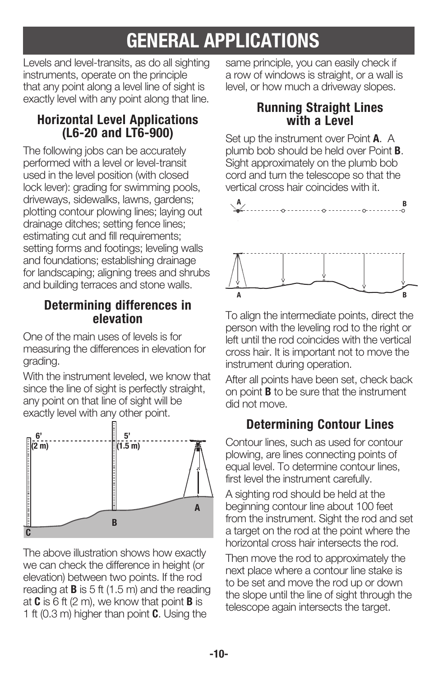# GENERAL APPLICATIONS

Levels and level-transits, as do all sighting instruments, operate on the principle that any point along a level line of sight is exactly level with any point along that line.

### Horizontal Level Applications (L6-20 and LT6-900)

The following jobs can be accurately performed with a level or level-transit used in the level position (with closed lock lever): grading for swimming pools, driveways, sidewalks, lawns, gardens; plotting contour plowing lines; laying out drainage ditches; setting fence lines; estimating cut and fill requirements; setting forms and footings; leveling walls and foundations; establishing drainage for landscaping; aligning trees and shrubs and building terraces and stone walls.

#### Determining differences in elevation

One of the main uses of levels is for measuring the differences in elevation for grading.

With the instrument leveled, we know that since the line of sight is perfectly straight. any point on that line of sight will be exactly level with any other point.



at C is 6 ft  $(2 \text{ m})$ , we know that point B is<br>4 ft  $(0.2 \text{ m})$  bigher than point C Union that The above illustration shows how exactly we can check the difference in height (or elevation) between two points. If the rod reading at **B** is 5 ft  $(1.5 \text{ m})$  and the reading 1 ft (0.3 m) higher than point **C**. Using the

same principle, you can easily check if a row of windows is straight, or a wall is level, or how much a driveway slopes.

#### Running Straight Lines with a Level

Set up the instrument over Point **A**. A bot ap the instrument over Point **B**.<br>Plumb bob should be held over Point **B**. Sight approximately on the plumb bob cord and turn the telescope so that the vertical cross hair coincides with it.



To align the intermediate points, direct the person with the leveling rod to the right or left until the rod coincides with the vertical cross hair. It is important not to move the instrument during operation.

on point **B** to be sure that the instrument After all points have been set, check back did not move.

### Determining Contour Lines

4 first level the instrument carefully. 3 45° equal level. To determine contour lines, plowing, are lines connecting points of Contour lines, such as used for contour

A sighting rod should be held at the beginning contour line about 100 feet from the instrument. Sight the rod and set a target on the rod at the point where the horizontal cross hair intersects the rod.

Then move the rod to approximately the next place where a contour line stake is to be set and move the rod up or down the slope until the line of sight through the telescope again intersects the target.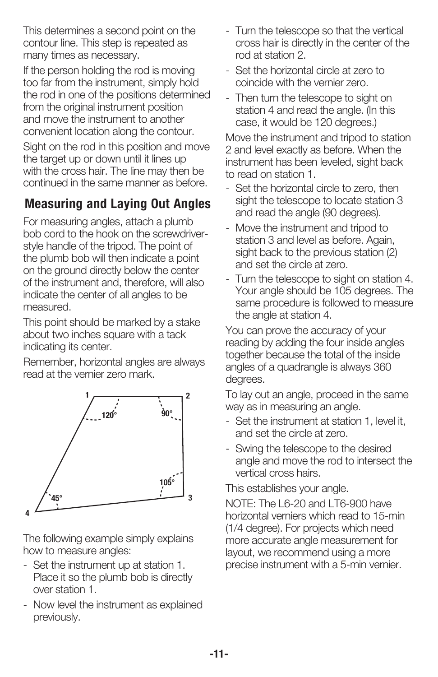This determines a second point on the contour line. This step is repeated as many times as necessary.

If the person holding the rod is moving too far from the instrument, simply hold the rod in one of the positions determined from the original instrument position and move the instrument to another convenient location along the contour.

Sight on the rod in this position and move the target up or down until it lines up instant in the line with the cross hair. The line may then be continued in the same manner as before.

### Measuring and Laying Out Angles

For measuring angles, attach a plumb bob cord to the hook on the screwdriverstyle handle of the tripod. The point of the plumb bob will then indicate a point on the ground directly below the center of the instrument and, therefore, will also indicate the center of all angles to be measured.

This point should be marked by a stake about two inches square with a tack indicating its center.

Remember, horizontal angles are always read at the vernier zero mark.



The following example simply explains how to measure angles:

- Set the instrument up at station 1. Place it so the plumb bob is directly over station 1.
- Now level the instrument as explained previously.
- Turn the telescope so that the vertical cross hair is directly in the center of the rod at station 2.
- Set the horizontal circle at zero to coincide with the vernier zero.
- Then turn the telescope to sight on station 4 and read the angle. (In this case, it would be 120 degrees.)

Move the instrument and tripod to station 2 and level exactly as before. When the instrument has been leveled, sight back to read on station 1.

- Set the horizontal circle to zero, then sight the telescope to locate station 3 and read the angle (90 degrees).
- Move the instrument and tripod to station 3 and level as before. Again, sight back to the previous station (2) and set the circle at zero.
- Turn the telescope to sight on station 4. Your angle should be 105 degrees. The same procedure is followed to measure the angle at station 4.

You can prove the accuracy of your reading by adding the four inside angles together because the total of the inside angles of a quadrangle is always 360 degrees.

To lay out an angle, proceed in the same way as in measuring an angle.

- Set the instrument at station 1, level it, and set the circle at zero.
- Swing the telescope to the desired angle and move the rod to intersect the vertical cross hairs.

This establishes your angle.

NOTE: The L6-20 and LT6-900 have horizontal verniers which read to 15-min (1/4 degree). For projects which need more accurate angle measurement for layout, we recommend using a more precise instrument with a 5-min vernier.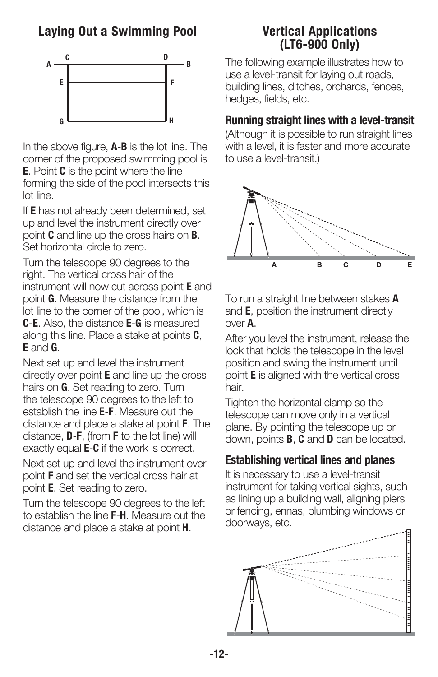### Laying Out a Swimming Pool



In the above figure,  $A-B$  is the lot line. The corner of the proposed swimming pool is **E.** Point **C** is the point where the line forming the side of the pool intersects this lot line.

> If E has not already been determined, set up and level the instrument directly over point  $C$  and line up the cross hairs on  $B$ . Set horizontal circle to zero.

Turn the telescope 90 degrees to the right. The vertical cross hair of the instrument will now cut across point E and point G. Measure the distance from the lot line to the corner of the pool, which is C-E. Also, the distance E-G is measured along this line. Place a stake at points C, E and **G**.  $\overline{1}$ 

Next set up and level the instrument directly over point **E** and line up the cross hairs on  $\mathbf G$ . Set reading to zero. Turn the telescope 90 degrees to the left to establish the line E-F. Measure out the distance and place a stake at point  $F$ . The distance,  $D$ -F, (from F to the lot line) will exactly equal **E-C** if the work is correct.

Next set up and level the instrument over point **F** and set the vertical cross hair at point E. Set reading to zero.

> Turn the telescope 90 degrees to the left to establish the line **F-H**. Measure out the distance and place a stake at point H.

### Vertical Applications (LT6-900 Only)

The following example illustrates how to The following example illustrates how that is not to all the solid and the state of the state of the state of the state of the state of the state of the state of the state of the state of the state of the state of the stat building lines, ditches, orchards, fences, F hedges, fields, etc. E

#### Running straight lines with a level-transit

(Although it is possible to run straight lines with a level, it is faster and more accurate to use a level-transit.)



To run a straight line between stakes **A** and E, position the instrument directly over A.

After you level the instrument, release the lock that holds the telescope in the level position and swing the instrument until point E is aligned with the vertical cross hair.

Tighten the horizontal clamp so the telescope can move only in a vertical plane. By pointing the telescope up or down, points B, C and D can be located.

#### Establishing vertical lines and planes

**Example 19 For Sea Process** and **process**<br>It is necessary to use a level-transit instrument for taking vertical sights, such as lining up a building wall, aligning piers or fencing, ennas, plumbing windows or doorways, etc.

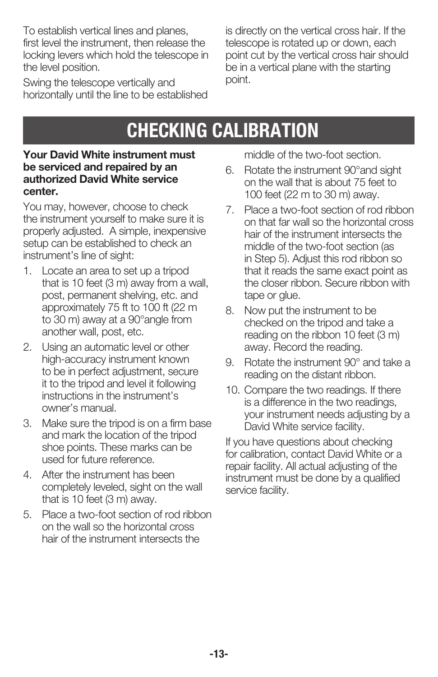To establish vertical lines and planes, first level the instrument, then release the locking levers which hold the telescope in the level position.

Swing the telescope vertically and horizontally until the line to be established is directly on the vertical cross hair. If the telescope is rotated up or down, each point cut by the vertical cross hair should be in a vertical plane with the starting point.

# CHECKING CALIBRATION

#### Your David White instrument must be serviced and repaired by an authorized David White service center.

You may, however, choose to check the instrument yourself to make sure it is properly adjusted. A simple, inexpensive setup can be established to check an instrument's line of sight:

- 1. Locate an area to set up a tripod that is 10 feet (3 m) away from a wall, post, permanent shelving, etc. and approximately 75 ft to 100 ft (22 m to 30 m) away at a 90°angle from another wall, post, etc.
- 2. Using an automatic level or other high-accuracy instrument known to be in perfect adjustment, secure it to the tripod and level it following instructions in the instrument's owner's manual.
- 3. Make sure the tripod is on a firm base and mark the location of the tripod shoe points. These marks can be used for future reference.
- 4. After the instrument has been completely leveled, sight on the wall that is 10 feet (3 m) away.
- 5. Place a two-foot section of rod ribbon on the wall so the horizontal cross hair of the instrument intersects the

middle of the two-foot section.

- 6. Rotate the instrument 90°and sight on the wall that is about 75 feet to 100 feet (22 m to 30 m) away.
- 7. Place a two-foot section of rod ribbon on that far wall so the horizontal cross hair of the instrument intersects the middle of the two-foot section (as in Step 5). Adjust this rod ribbon so that it reads the same exact point as the closer ribbon. Secure ribbon with tape or glue.
- 8. Now put the instrument to be checked on the tripod and take a reading on the ribbon 10 feet (3 m) away. Record the reading.
- 9. Rotate the instrument 90° and take a reading on the distant ribbon.
- 10. Compare the two readings. If there is a difference in the two readings, your instrument needs adjusting by a David White service facility.

If you have questions about checking for calibration, contact David White or a repair facility. All actual adjusting of the instrument must be done by a qualified service facility.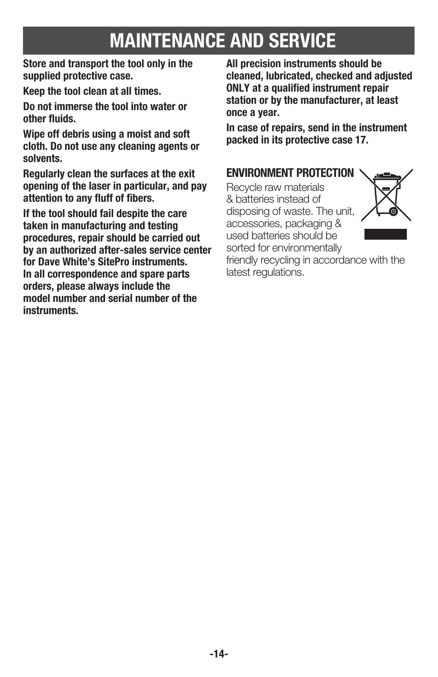# MAINTENANCE AND SERVICE

Store and transport the tool only in the supplied protective case.

Keep the tool clean at all times.

Do not immerse the tool into water or other fluids.

Wipe off debris using a moist and soft cloth. Do not use any cleaning agents or solvents.

Regularly clean the surfaces at the exit opening of the laser in particular, and pay attention to any fluff of fibers.

If the tool should fail despite the care taken in manufacturing and testing procedures, repair should be carried out by an authorized after-sales service center for Dave White's SitePro instruments. In all correspondence and spare parts orders, please always include the model number and serial number of the instruments.

All precision instruments should be cleaned, lubricated, checked and adjusted ONLY at a qualified instrument repair station or by the manufacturer, at least once a year.

In case of repairs, send in the instrument packed in its protective case 17.

friendly recycling in accordance with the

#### ENVIRONMENT PROTECTION

Recycle raw materials & batteries instead of disposing of waste. The unit, accessories, packaging & used batteries should be sorted for environmentally

latest regulations.

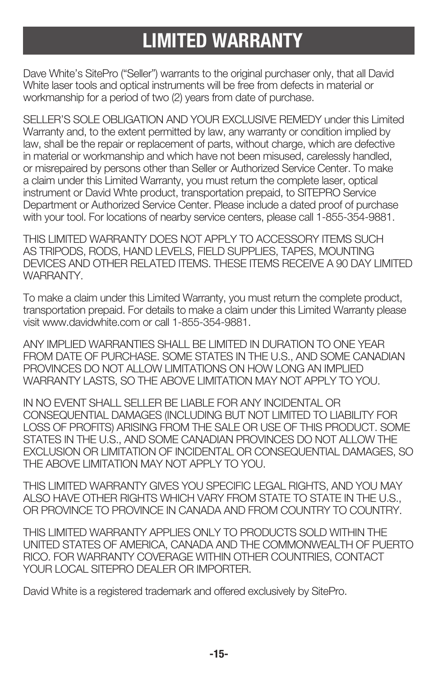## LIMITED WARRANTY

Dave White's SitePro ("Seller") warrants to the original purchaser only, that all David White laser tools and optical instruments will be free from defects in material or workmanship for a period of two (2) years from date of purchase.

SELLER'S SOLE OBLIGATION AND YOUR EXCLUSIVE REMEDY under this Limited Warranty and, to the extent permitted by law, any warranty or condition implied by law, shall be the repair or replacement of parts, without charge, which are defective in material or workmanship and which have not been misused, carelessly handled, or misrepaired by persons other than Seller or Authorized Service Center. To make a claim under this Limited Warranty, you must return the complete laser, optical instrument or David Whte product, transportation prepaid, to SITEPRO Service Department or Authorized Service Center. Please include a dated proof of purchase with your tool. For locations of nearby service centers, please call 1-855-354-9881.

THIS LIMITED WARRANTY DOES NOT APPLY TO ACCESSORY ITEMS SUCH AS TRIPODS, RODS, HAND LEVELS, FIELD SUPPLIES, TAPES, MOUNTING DEVICES AND OTHER RELATED ITEMS. THESE ITEMS RECEIVE A 90 DAY LIMITED **WARRANTY** 

To make a claim under this Limited Warranty, you must return the complete product, transportation prepaid. For details to make a claim under this Limited Warranty please visit www.davidwhite.com or call 1-855-354-9881.

ANY IMPLIED WARRANTIES SHALL BE LIMITED IN DURATION TO ONE YEAR FROM DATE OF PURCHASE. SOME STATES IN THE U.S., AND SOME CANADIAN PROVINCES DO NOT ALLOW LIMITATIONS ON HOW LONG AN IMPLIED WARRANTY LASTS, SO THE ABOVE LIMITATION MAY NOT APPLY TO YOU.

IN NO EVENT SHALL SELLER BE LIABLE FOR ANY INCIDENTAL OR CONSEQUENTIAL DAMAGES (INCLUDING BUT NOT LIMITED TO LIABILITY FOR LOSS OF PROFITS) ARISING FROM THE SALE OR USE OF THIS PRODUCT. SOME STATES IN THE U.S., AND SOME CANADIAN PROVINCES DO NOT ALLOW THE EXCLUSION OR LIMITATION OF INCIDENTAL OR CONSEQUENTIAL DAMAGES, SO THE ABOVE LIMITATION MAY NOT APPLY TO YOU.

THIS LIMITED WARRANTY GIVES YOU SPECIFIC LEGAL RIGHTS, AND YOU MAY ALSO HAVE OTHER RIGHTS WHICH VARY FROM STATE TO STATE IN THE U.S., OR PROVINCE TO PROVINCE IN CANADA AND FROM COUNTRY TO COUNTRY.

THIS LIMITED WARRANTY APPLIES ONLY TO PRODUCTS SOLD WITHIN THE UNITED STATES OF AMERICA, CANADA AND THE COMMONWEALTH OF PUERTO RICO. FOR WARRANTY COVERAGE WITHIN OTHER COUNTRIES, CONTACT YOUR LOCAL SITEPRO DEALER OR IMPORTER.

David White is a registered trademark and offered exclusively by SitePro.